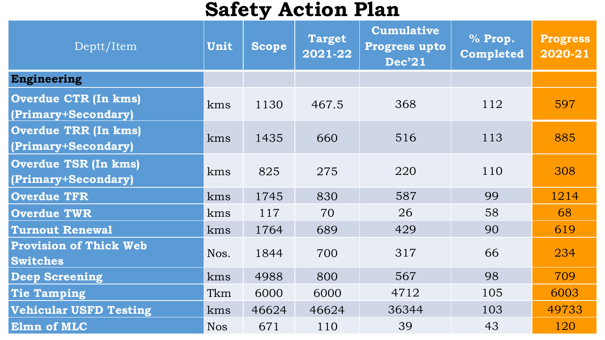## **Safety Action Plan**

| Deptt/Item                                         | Unit       | <b>Scope</b> | <b>Target</b><br>2021-22 | <b>Cumulative</b><br><b>Progress upto</b><br><b>Dec'21</b> | % Prop.<br>Completed | <b>Progress</b><br>2020-21 |
|----------------------------------------------------|------------|--------------|--------------------------|------------------------------------------------------------|----------------------|----------------------------|
| <b>Engineering</b>                                 |            |              |                          |                                                            |                      |                            |
| <b>Overdue CTR (In kms)</b><br>(Primary+Secondary) | kms        | 1130         | 467.5                    | 368                                                        | 112                  | 597                        |
| <b>Overdue TRR (In kms)</b><br>(Primary+Secondary) | kms        | 1435         | 660                      | 516                                                        | 113                  | 885                        |
| <b>Overdue TSR (In kms)</b><br>(Primary+Secondary) | kms        | 825          | 275                      | 220                                                        | 110                  | 308                        |
| <b>Overdue TFR</b>                                 | kms        | 1745         | 830                      | 587                                                        | 99                   | 1214                       |
| <b>Overdue TWR</b>                                 | kms        | 117          | 70                       | 26                                                         | 58                   | 68                         |
| <b>Turnout Renewal</b>                             | kms        | 1764         | 689                      | 429                                                        | 90                   | 619                        |
| <b>Provision of Thick Web</b><br><b>Switches</b>   | Nos.       | 1844         | 700                      | 317                                                        | 66                   | 234                        |
| <b>Deep Screening</b>                              | kms        | 4988         | 800                      | 567                                                        | 98                   | 709                        |
| <b>Tie Tamping</b>                                 | Tkm        | 6000         | 6000                     | 4712                                                       | 105                  | 6003                       |
| <b>Vehicular USFD Testing</b>                      | kms        | 46624        | 46624                    | 36344                                                      | 103                  | 49733                      |
| Elmn of MLC                                        | <b>Nos</b> | 671          | 110                      | 39                                                         | 43                   | 120                        |